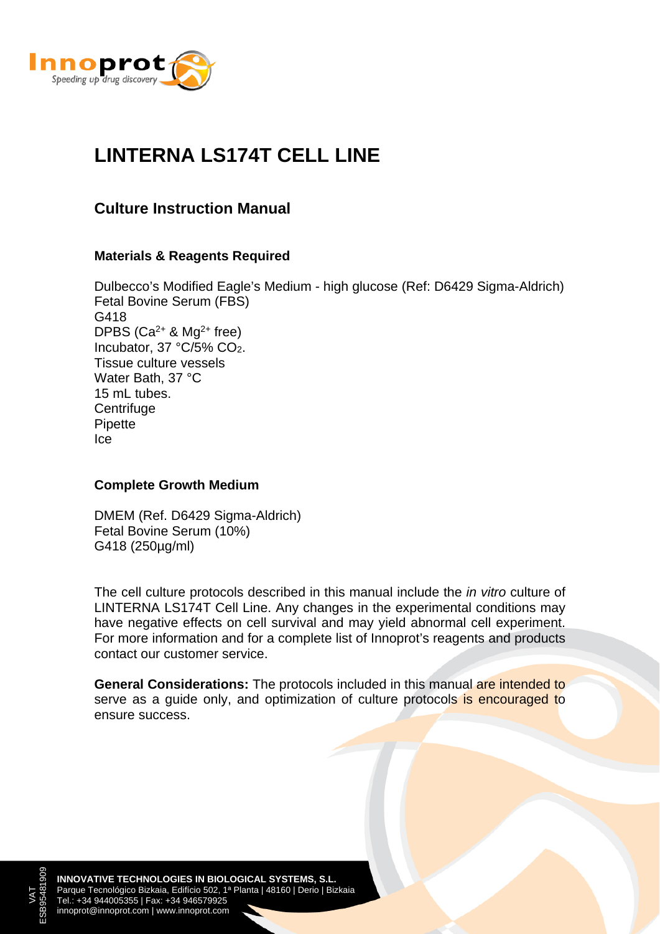

# **LINTERNA LS174T CELL LINE**

### **Culture Instruction Manual**

#### **Materials & Reagents Required**

Dulbecco's Modified Eagle's Medium - high glucose (Ref: D6429 Sigma-Aldrich) Fetal Bovine Serum (FBS) G418 DPBS  $(Ca^{2+}$  & Mg<sup>2+</sup> free) Incubator, 37 °C/5% CO2. Tissue culture vessels Water Bath, 37 °C 15 mL tubes. **Centrifuge** Pipette Ice

#### **Complete Growth Medium**

DMEM (Ref. D6429 Sigma-Aldrich) Fetal Bovine Serum (10%) G418 (250µg/ml)

The cell culture protocols described in this manual include the *in vitro* culture of LINTERNA LS174T Cell Line. Any changes in the experimental conditions may have negative effects on cell survival and may yield abnormal cell experiment. For more information and for a complete list of Innoprot's reagents and products contact our customer service.

**General Considerations:** The protocols included in this manual are intended to serve as a guide only, and optimization of culture protocols is encouraged to ensure success.

**INNOVATIVE TECHNOLOGIES IN BIOLOGICAL SYSTEMS, S.L.** Parque Tecnológico Bizkaia, Edifício 502, 1ª Planta | 48160 | Derio | Bizkaia Tel.: +34 944005355 | Fax: +34 946579925 innoprot@innoprot.com | www.innoprot.com

VAT ESB95481909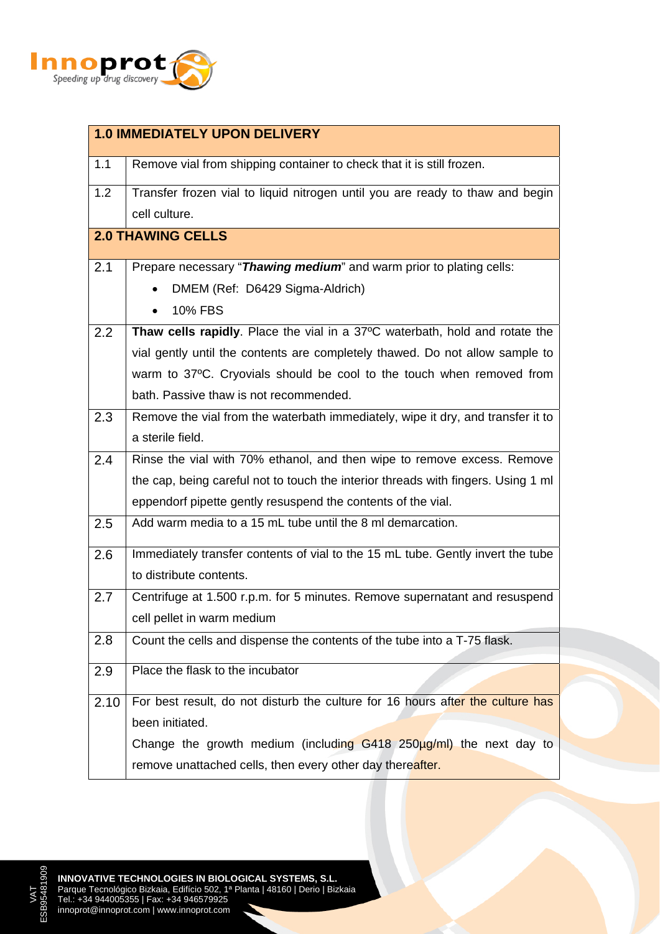

| <b>1.0 IMMEDIATELY UPON DELIVERY</b> |                                                                                   |  |
|--------------------------------------|-----------------------------------------------------------------------------------|--|
| 1.1                                  | Remove vial from shipping container to check that it is still frozen.             |  |
| 1.2                                  | Transfer frozen vial to liquid nitrogen until you are ready to thaw and begin     |  |
|                                      | cell culture.                                                                     |  |
| <b>2.0 THAWING CELLS</b>             |                                                                                   |  |
| 2.1                                  | Prepare necessary "Thawing medium" and warm prior to plating cells:               |  |
|                                      | DMEM (Ref: D6429 Sigma-Aldrich)                                                   |  |
|                                      | 10% FBS                                                                           |  |
| 2.2                                  | Thaw cells rapidly. Place the vial in a 37°C waterbath, hold and rotate the       |  |
|                                      | vial gently until the contents are completely thawed. Do not allow sample to      |  |
|                                      | warm to 37°C. Cryovials should be cool to the touch when removed from             |  |
|                                      | bath. Passive thaw is not recommended.                                            |  |
| 2.3                                  | Remove the vial from the waterbath immediately, wipe it dry, and transfer it to   |  |
|                                      | a sterile field.                                                                  |  |
| 2.4                                  | Rinse the vial with 70% ethanol, and then wipe to remove excess. Remove           |  |
|                                      | the cap, being careful not to touch the interior threads with fingers. Using 1 ml |  |
|                                      | eppendorf pipette gently resuspend the contents of the vial.                      |  |
| 2.5                                  | Add warm media to a 15 mL tube until the 8 ml demarcation.                        |  |
| 2.6                                  | Immediately transfer contents of vial to the 15 mL tube. Gently invert the tube   |  |
|                                      | to distribute contents.                                                           |  |
| 2.7                                  | Centrifuge at 1.500 r.p.m. for 5 minutes. Remove supernatant and resuspend        |  |
|                                      | cell pellet in warm medium                                                        |  |
| 2.8                                  | Count the cells and dispense the contents of the tube into a T-75 flask.          |  |
| 2.9                                  | Place the flask to the incubator                                                  |  |
| 2.10                                 | For best result, do not disturb the culture for 16 hours after the culture has    |  |
|                                      | been initiated.                                                                   |  |
|                                      | Change the growth medium (including G418 250µg/ml) the next day to                |  |
|                                      | remove unattached cells, then every other day thereafter.                         |  |

VAT<br>95481909 ESB95481909